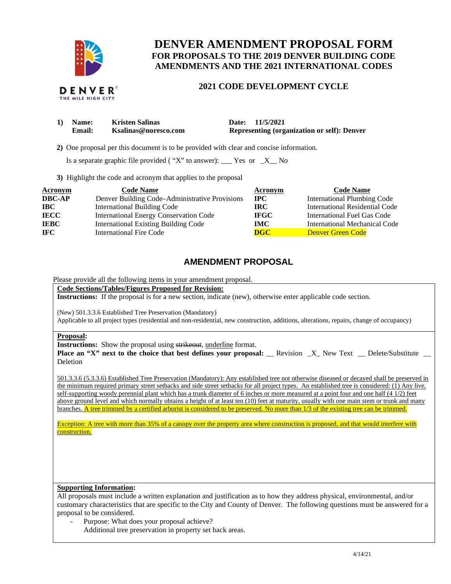

# **DENVER AMENDMENT PROPOSAL FORM FOR PROPOSALS TO THE 2019 DENVER BUILDING CODE AMENDMENTS AND THE 2021 INTERNATIONAL CODES**

## **2021 CODE DEVELOPMENT CYCLE**

| 1) Name: | <b>Kristen Salinas</b> | Date: 11/5/2021                                    |
|----------|------------------------|----------------------------------------------------|
| Email:   | Ksalinas@noresco.com   | <b>Representing (organization or self): Denver</b> |

 **2)** One proposal per this document is to be provided with clear and concise information.

Is a separate graphic file provided ( "X" to answer):  $\frac{1}{1}$  Yes or  $\frac{1}{1}$  No

**3)** Highlight the code and acronym that applies to the proposal

| Acronym       | <b>Code Name</b>                               | Acronym     | <b>Code Name</b>                   |
|---------------|------------------------------------------------|-------------|------------------------------------|
| <b>DBC-AP</b> | Denver Building Code–Administrative Provisions | $\bf{IPC}$  | <b>International Plumbing Code</b> |
| <b>IBC</b>    | <b>International Building Code</b>             | IRC-        | International Residential Code     |
| <b>IECC</b>   | <b>International Energy Conservation Code</b>  | <b>IFGC</b> | International Fuel Gas Code        |
| <b>IEBC</b>   | <b>International Existing Building Code</b>    | <b>IMC</b>  | International Mechanical Code      |
| IFC.          | <b>International Fire Code</b>                 | <b>DGC</b>  | <b>Denver Green Code</b>           |

## **AMENDMENT PROPOSAL**

Please provide all the following items in your amendment proposal.

**Code Sections/Tables/Figures Proposed for Revision:** 

**Instructions:** If the proposal is for a new section, indicate (new), otherwise enter applicable code section.

(New) 501.3.3.6 Established Tree Preservation (Mandatory)

Applicable to all project types (residential and non-residential, new construction, additions, alterations, repairs, change of occupancy)

#### **Proposal:**

**Instructions:** Show the proposal using strikeout, underline format.

**Place an "X" next to the choice that best defines your proposal:** \_\_ Revision \_X\_ New Text \_\_ Delete/Substitute Deletion

501.3.3.6 (5.3.3.6) Established Tree Preservation (Mandatory): Any established tree not otherwise diseased or decayed shall be preserved in the minimum required primary street setbacks and side street setbacks for all project types. An established tree is considered: (1) Any live, self-supporting woody perennial plant which has a trunk diameter of 6 inches or more measured at a point four and one half (4 1/2) feet above ground level and which normally obtains a height of at least ten (10) feet at maturity, usually with one main stem or trunk and many branches. A tree trimmed by a certified arborist is considered to be preserved. No more than 1/3 of the existing tree can be trimmed.

Exception: A tree with more than 35% of a canopy over the property area where construction is proposed, and that would interfere with construction.

### **Supporting Information:**

All proposals must include a written explanation and justification as to how they address physical, environmental, and/or customary characteristics that are specific to the City and County of Denver. The following questions must be answered for a proposal to be considered.

- Purpose: What does your proposal achieve?
	- Additional tree preservation in property set back areas.